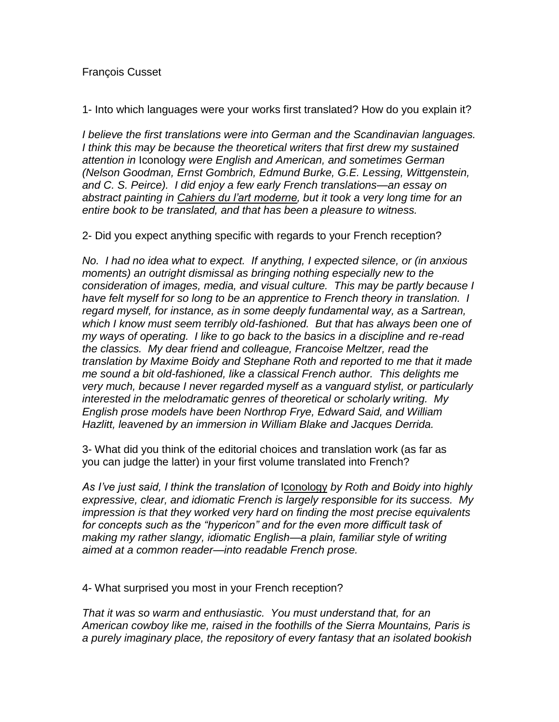## François Cusset

1- Into which languages were your works first translated? How do you explain it?

*I believe the first translations were into German and the Scandinavian languages. I think this may be because the theoretical writers that first drew my sustained attention in* Iconology *were English and American, and sometimes German (Nelson Goodman, Ernst Gombrich, Edmund Burke, G.E. Lessing, Wittgenstein, and C. S. Peirce). I did enjoy a few early French translations—an essay on abstract painting in Cahiers du l'art moderne, but it took a very long time for an entire book to be translated, and that has been a pleasure to witness.* 

2- Did you expect anything specific with regards to your French reception?

*No. I had no idea what to expect. If anything, I expected silence, or (in anxious moments) an outright dismissal as bringing nothing especially new to the consideration of images, media, and visual culture. This may be partly because I have felt myself for so long to be an apprentice to French theory in translation. I regard myself, for instance, as in some deeply fundamental way, as a Sartrean, which I know must seem terribly old-fashioned. But that has always been one of my ways of operating. I like to go back to the basics in a discipline and re-read the classics. My dear friend and colleague, Francoise Meltzer, read the translation by Maxime Boidy and Stephane Roth and reported to me that it made me sound a bit old-fashioned, like a classical French author. This delights me very much, because I never regarded myself as a vanguard stylist, or particularly interested in the melodramatic genres of theoretical or scholarly writing. My English prose models have been Northrop Frye, Edward Said, and William Hazlitt, leavened by an immersion in William Blake and Jacques Derrida.* 

3- What did you think of the editorial choices and translation work (as far as you can judge the latter) in your first volume translated into French?

*As I've just said, I think the translation of* Iconology *by Roth and Boidy into highly expressive, clear, and idiomatic French is largely responsible for its success. My impression is that they worked very hard on finding the most precise equivalents for concepts such as the "hypericon" and for the even more difficult task of making my rather slangy, idiomatic English—a plain, familiar style of writing aimed at a common reader—into readable French prose.*

4- What surprised you most in your French reception?

*That it was so warm and enthusiastic. You must understand that, for an American cowboy like me, raised in the foothills of the Sierra Mountains, Paris is a purely imaginary place, the repository of every fantasy that an isolated bookish*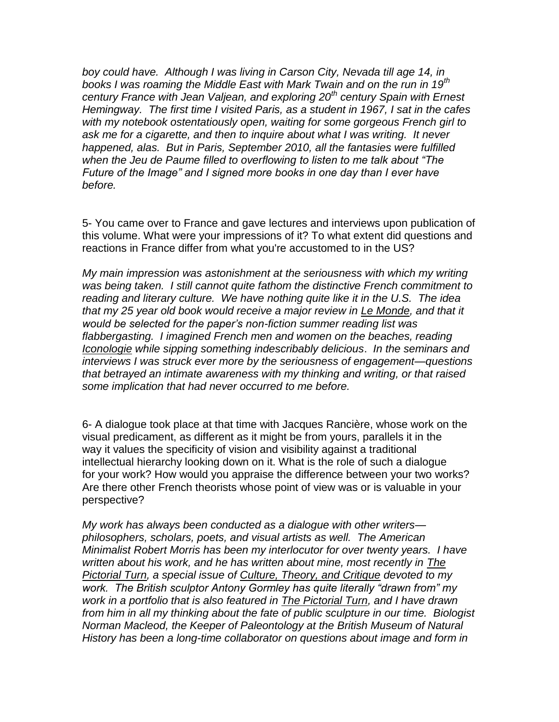*boy could have. Although I was living in Carson City, Nevada till age 14, in books I was roaming the Middle East with Mark Twain and on the run in 19th century France with Jean Valjean, and exploring 20th century Spain with Ernest Hemingway. The first time I visited Paris, as a student in 1967, I sat in the cafes with my notebook ostentatiously open, waiting for some gorgeous French girl to ask me for a cigarette, and then to inquire about what I was writing. It never happened, alas. But in Paris, September 2010, all the fantasies were fulfilled when the Jeu de Paume filled to overflowing to listen to me talk about "The Future of the Image" and I signed more books in one day than I ever have before.* 

5- You came over to France and gave lectures and interviews upon publication of this volume. What were your impressions of it? To what extent did questions and reactions in France differ from what you're accustomed to in the US?

*My main impression was astonishment at the seriousness with which my writing was being taken. I still cannot quite fathom the distinctive French commitment to reading and literary culture. We have nothing quite like it in the U.S. The idea that my 25 year old book would receive a major review in Le Monde, and that it would be selected for the paper's non-fiction summer reading list was flabbergasting. I imagined French men and women on the beaches, reading Iconologie while sipping something indescribably delicious*. *In the seminars and interviews I was struck ever more by the seriousness of engagement—questions that betrayed an intimate awareness with my thinking and writing, or that raised some implication that had never occurred to me before.*

6- A dialogue took place at that time with Jacques Rancière, whose work on the visual predicament, as different as it might be from yours, parallels it in the way it values the specificity of vision and visibility against a traditional intellectual hierarchy looking down on it. What is the role of such a dialogue for your work? How would you appraise the difference between your two works? Are there other French theorists whose point of view was or is valuable in your perspective?

*My work has always been conducted as a dialogue with other writers philosophers, scholars, poets, and visual artists as well. The American Minimalist Robert Morris has been my interlocutor for over twenty years. I have written about his work, and he has written about mine, most recently in The Pictorial Turn, a special issue of Culture, Theory, and Critique devoted to my work. The British sculptor Antony Gormley has quite literally "drawn from" my work in a portfolio that is also featured in The Pictorial Turn, and I have drawn from him in all my thinking about the fate of public sculpture in our time. Biologist Norman Macleod, the Keeper of Paleontology at the British Museum of Natural History has been a long-time collaborator on questions about image and form in*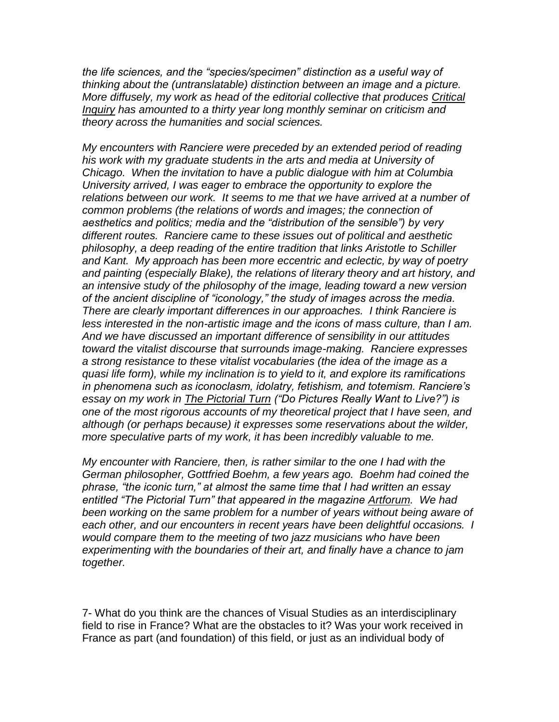*the life sciences, and the "species/specimen" distinction as a useful way of thinking about the (untranslatable) distinction between an image and a picture. More diffusely, my work as head of the editorial collective that produces Critical Inquiry has amounted to a thirty year long monthly seminar on criticism and theory across the humanities and social sciences.*

*My encounters with Ranciere were preceded by an extended period of reading his work with my graduate students in the arts and media at University of Chicago. When the invitation to have a public dialogue with him at Columbia University arrived, I was eager to embrace the opportunity to explore the relations between our work. It seems to me that we have arrived at a number of common problems (the relations of words and images; the connection of aesthetics and politics; media and the "distribution of the sensible") by very different routes. Ranciere came to these issues out of political and aesthetic philosophy, a deep reading of the entire tradition that links Aristotle to Schiller and Kant. My approach has been more eccentric and eclectic, by way of poetry and painting (especially Blake), the relations of literary theory and art history, and an intensive study of the philosophy of the image, leading toward a new version of the ancient discipline of "iconology," the study of images across the media. There are clearly important differences in our approaches. I think Ranciere is less interested in the non-artistic image and the icons of mass culture, than I am. And we have discussed an important difference of sensibility in our attitudes toward the vitalist discourse that surrounds image-making. Ranciere expresses a strong resistance to these vitalist vocabularies (the idea of the image as a quasi life form), while my inclination is to yield to it, and explore its ramifications in phenomena such as iconoclasm, idolatry, fetishism, and totemism. Ranciere's essay on my work in The Pictorial Turn ("Do Pictures Really Want to Live?") is one of the most rigorous accounts of my theoretical project that I have seen, and although (or perhaps because) it expresses some reservations about the wilder, more speculative parts of my work, it has been incredibly valuable to me.*

*My encounter with Ranciere, then, is rather similar to the one I had with the German philosopher, Gottfried Boehm, a few years ago. Boehm had coined the phrase, "the iconic turn," at almost the same time that I had written an essay entitled "The Pictorial Turn" that appeared in the magazine Artforum. We had been working on the same problem for a number of years without being aware of each other, and our encounters in recent years have been delightful occasions. I would compare them to the meeting of two jazz musicians who have been experimenting with the boundaries of their art, and finally have a chance to jam together.* 

7- What do you think are the chances of Visual Studies as an interdisciplinary field to rise in France? What are the obstacles to it? Was your work received in France as part (and foundation) of this field, or just as an individual body of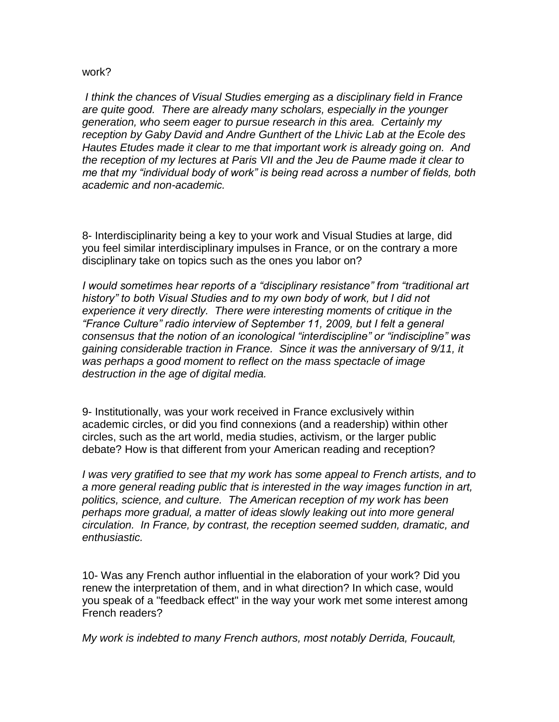## work?

*I think the chances of Visual Studies emerging as a disciplinary field in France are quite good. There are already many scholars, especially in the younger generation, who seem eager to pursue research in this area. Certainly my reception by Gaby David and Andre Gunthert of the Lhivic Lab at the Ecole des Hautes Etudes made it clear to me that important work is already going on. And the reception of my lectures at Paris VII and the Jeu de Paume made it clear to me that my "individual body of work" is being read across a number of fields, both academic and non-academic.*

8- Interdisciplinarity being a key to your work and Visual Studies at large, did you feel similar interdisciplinary impulses in France, or on the contrary a more disciplinary take on topics such as the ones you labor on?

*I would sometimes hear reports of a "disciplinary resistance" from "traditional art history" to both Visual Studies and to my own body of work, but I did not experience it very directly. There were interesting moments of critique in the "France Culture" radio interview of September 11, 2009, but I felt a general consensus that the notion of an iconological "interdiscipline" or "indiscipline" was gaining considerable traction in France. Since it was the anniversary of 9/11, it was perhaps a good moment to reflect on the mass spectacle of image destruction in the age of digital media.* 

9- Institutionally, was your work received in France exclusively within academic circles, or did you find connexions (and a readership) within other circles, such as the art world, media studies, activism, or the larger public debate? How is that different from your American reading and reception?

*I was very gratified to see that my work has some appeal to French artists, and to a more general reading public that is interested in the way images function in art, politics, science, and culture. The American reception of my work has been perhaps more gradual, a matter of ideas slowly leaking out into more general circulation. In France, by contrast, the reception seemed sudden, dramatic, and enthusiastic.*

10- Was any French author influential in the elaboration of your work? Did you renew the interpretation of them, and in what direction? In which case, would you speak of a "feedback effect" in the way your work met some interest among French readers?

*My work is indebted to many French authors, most notably Derrida, Foucault,*